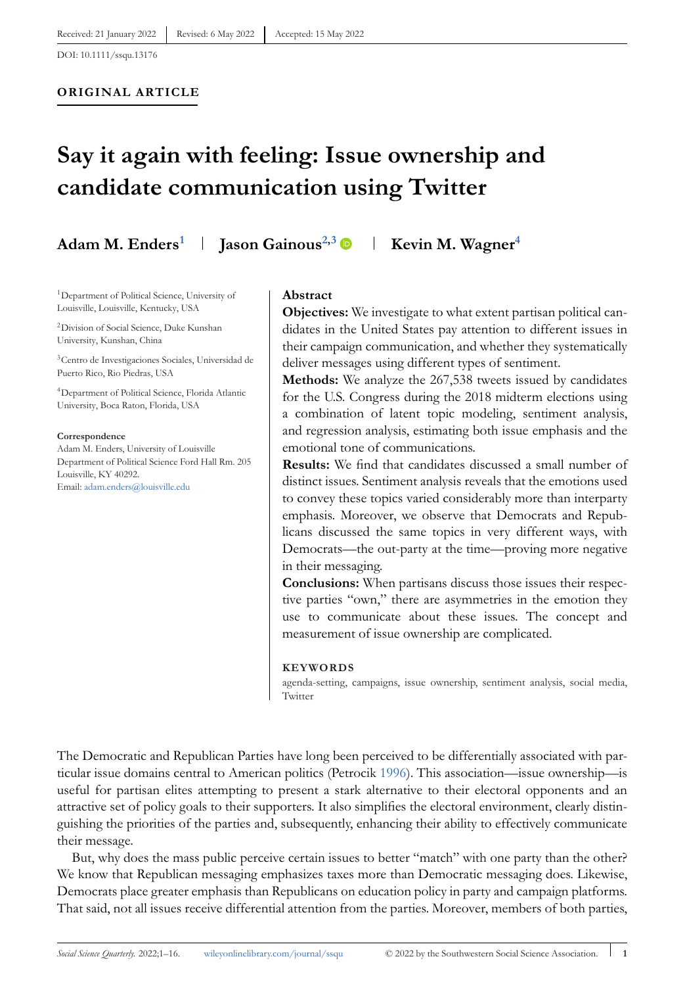#### **ORIGINAL ARTICLE**

# **Say it again with feeling: Issue ownership and candidate communication using Twitter**

# Adam M. Enders<sup>1</sup> | Jason Gainous<sup>2,3</sup> | Kevin M. Wagner<sup>4</sup>

1Department of Political Science, University of Louisville, Louisville, Kentucky, USA

2Division of Social Science, Duke Kunshan University, Kunshan, China

3Centro de Investigaciones Sociales, Universidad de Puerto Rico, Rio Piedras, USA

4Department of Political Science, Florida Atlantic University, Boca Raton, Florida, USA

#### **Correspondence**

Adam M. Enders, University of Louisville Department of Political Science Ford Hall Rm. 205 Louisville, KY 40292. Email: [adam.enders@louisville.edu](mailto:adam.enders@louisville.edu)

#### **Abstract**

**Objectives:** We investigate to what extent partisan political candidates in the United States pay attention to different issues in their campaign communication, and whether they systematically deliver messages using different types of sentiment.

**Methods:** We analyze the 267,538 tweets issued by candidates for the U.S. Congress during the 2018 midterm elections using a combination of latent topic modeling, sentiment analysis, and regression analysis, estimating both issue emphasis and the emotional tone of communications.

**Results:** We find that candidates discussed a small number of distinct issues. Sentiment analysis reveals that the emotions used to convey these topics varied considerably more than interparty emphasis. Moreover, we observe that Democrats and Republicans discussed the same topics in very different ways, with Democrats—the out-party at the time—proving more negative in their messaging.

**Conclusions:** When partisans discuss those issues their respective parties "own," there are asymmetries in the emotion they use to communicate about these issues. The concept and measurement of issue ownership are complicated.

#### **KEYWORDS**

agenda-setting, campaigns, issue ownership, sentiment analysis, social media, Twitter

The Democratic and Republican Parties have long been perceived to be differentially associated with particular issue domains central to American politics (Petrocik [1996\)](#page-15-0). This association—issue ownership—is useful for partisan elites attempting to present a stark alternative to their electoral opponents and an attractive set of policy goals to their supporters. It also simplifies the electoral environment, clearly distinguishing the priorities of the parties and, subsequently, enhancing their ability to effectively communicate their message.

But, why does the mass public perceive certain issues to better "match" with one party than the other? We know that Republican messaging emphasizes taxes more than Democratic messaging does. Likewise, Democrats place greater emphasis than Republicans on education policy in party and campaign platforms. That said, not all issues receive differential attention from the parties. Moreover, members of both parties,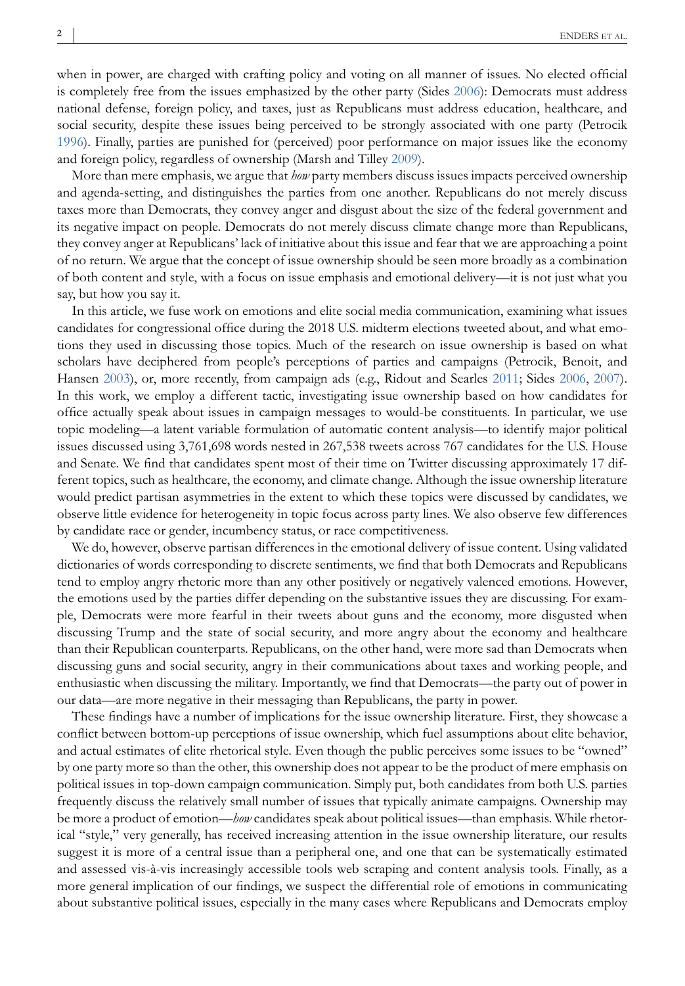when in power, are charged with crafting policy and voting on all manner of issues. No elected official is completely free from the issues emphasized by the other party (Sides [2006\)](#page-15-0): Democrats must address national defense, foreign policy, and taxes, just as Republicans must address education, healthcare, and social security, despite these issues being perceived to be strongly associated with one party (Petrocik [1996\)](#page-15-0). Finally, parties are punished for (perceived) poor performance on major issues like the economy and foreign policy, regardless of ownership (Marsh and Tilley [2009\)](#page-15-0).

More than mere emphasis, we argue that *how* party members discuss issues impacts perceived ownership and agenda-setting, and distinguishes the parties from one another. Republicans do not merely discuss taxes more than Democrats, they convey anger and disgust about the size of the federal government and its negative impact on people. Democrats do not merely discuss climate change more than Republicans, they convey anger at Republicans' lack of initiative about this issue and fear that we are approaching a point of no return. We argue that the concept of issue ownership should be seen more broadly as a combination of both content and style, with a focus on issue emphasis and emotional delivery—it is not just what you say, but how you say it.

In this article, we fuse work on emotions and elite social media communication, examining what issues candidates for congressional office during the 2018 U.S. midterm elections tweeted about, and what emotions they used in discussing those topics. Much of the research on issue ownership is based on what scholars have deciphered from people's perceptions of parties and campaigns (Petrocik, Benoit, and Hansen [2003\)](#page-15-0), or, more recently, from campaign ads (e.g., Ridout and Searles [2011;](#page-15-0) Sides [2006,](#page-15-0) [2007\)](#page-15-0). In this work, we employ a different tactic, investigating issue ownership based on how candidates for office actually speak about issues in campaign messages to would-be constituents. In particular, we use topic modeling—a latent variable formulation of automatic content analysis—to identify major political issues discussed using 3,761,698 words nested in 267,538 tweets across 767 candidates for the U.S. House and Senate. We find that candidates spent most of their time on Twitter discussing approximately 17 different topics, such as healthcare, the economy, and climate change. Although the issue ownership literature would predict partisan asymmetries in the extent to which these topics were discussed by candidates, we observe little evidence for heterogeneity in topic focus across party lines. We also observe few differences by candidate race or gender, incumbency status, or race competitiveness.

We do, however, observe partisan differences in the emotional delivery of issue content. Using validated dictionaries of words corresponding to discrete sentiments, we find that both Democrats and Republicans tend to employ angry rhetoric more than any other positively or negatively valenced emotions. However, the emotions used by the parties differ depending on the substantive issues they are discussing. For example, Democrats were more fearful in their tweets about guns and the economy, more disgusted when discussing Trump and the state of social security, and more angry about the economy and healthcare than their Republican counterparts. Republicans, on the other hand, were more sad than Democrats when discussing guns and social security, angry in their communications about taxes and working people, and enthusiastic when discussing the military. Importantly, we find that Democrats—the party out of power in our data—are more negative in their messaging than Republicans, the party in power.

These findings have a number of implications for the issue ownership literature. First, they showcase a conflict between bottom-up perceptions of issue ownership, which fuel assumptions about elite behavior, and actual estimates of elite rhetorical style. Even though the public perceives some issues to be "owned" by one party more so than the other, this ownership does not appear to be the product of mere emphasis on political issues in top-down campaign communication. Simply put, both candidates from both U.S. parties frequently discuss the relatively small number of issues that typically animate campaigns. Ownership may be more a product of emotion—*how* candidates speak about political issues—than emphasis. While rhetorical "style," very generally, has received increasing attention in the issue ownership literature, our results suggest it is more of a central issue than a peripheral one, and one that can be systematically estimated and assessed vis-à-vis increasingly accessible tools web scraping and content analysis tools. Finally, as a more general implication of our findings, we suspect the differential role of emotions in communicating about substantive political issues, especially in the many cases where Republicans and Democrats employ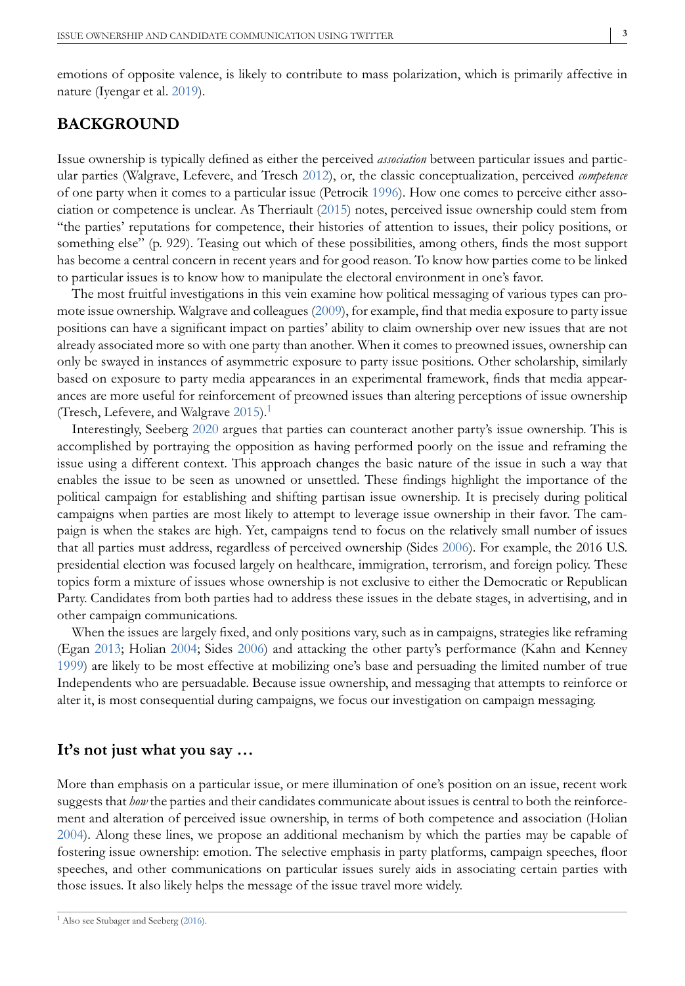emotions of opposite valence, is likely to contribute to mass polarization, which is primarily affective in nature (Iyengar et al. [2019\)](#page-14-0).

# **BACKGROUND**

Issue ownership is typically defined as either the perceived *association* between particular issues and particular parties (Walgrave, Lefevere, and Tresch [2012\)](#page-15-0), or, the classic conceptualization, perceived *competence* of one party when it comes to a particular issue (Petrocik [1996\)](#page-15-0). How one comes to perceive either association or competence is unclear. As Therriault [\(2015\)](#page-15-0) notes, perceived issue ownership could stem from "the parties' reputations for competence, their histories of attention to issues, their policy positions, or something else" (p. 929). Teasing out which of these possibilities, among others, finds the most support has become a central concern in recent years and for good reason. To know how parties come to be linked to particular issues is to know how to manipulate the electoral environment in one's favor.

The most fruitful investigations in this vein examine how political messaging of various types can promote issue ownership. Walgrave and colleagues [\(2009\)](#page-15-0), for example, find that media exposure to party issue positions can have a significant impact on parties' ability to claim ownership over new issues that are not already associated more so with one party than another. When it comes to preowned issues, ownership can only be swayed in instances of asymmetric exposure to party issue positions. Other scholarship, similarly based on exposure to party media appearances in an experimental framework, finds that media appearances are more useful for reinforcement of preowned issues than altering perceptions of issue ownership (Tresch, Lefevere, and Walgrave [2015\)](#page-15-0).<sup>1</sup>

Interestingly, Seeberg [2020](#page-15-0) argues that parties can counteract another party's issue ownership. This is accomplished by portraying the opposition as having performed poorly on the issue and reframing the issue using a different context. This approach changes the basic nature of the issue in such a way that enables the issue to be seen as unowned or unsettled. These findings highlight the importance of the political campaign for establishing and shifting partisan issue ownership. It is precisely during political campaigns when parties are most likely to attempt to leverage issue ownership in their favor. The campaign is when the stakes are high. Yet, campaigns tend to focus on the relatively small number of issues that all parties must address, regardless of perceived ownership (Sides [2006\)](#page-15-0). For example, the 2016 U.S. presidential election was focused largely on healthcare, immigration, terrorism, and foreign policy. These topics form a mixture of issues whose ownership is not exclusive to either the Democratic or Republican Party. Candidates from both parties had to address these issues in the debate stages, in advertising, and in other campaign communications.

When the issues are largely fixed, and only positions vary, such as in campaigns, strategies like reframing (Egan [2013;](#page-14-0) Holian [2004;](#page-14-0) Sides [2006\)](#page-15-0) and attacking the other party's performance (Kahn and Kenney [1999\)](#page-14-0) are likely to be most effective at mobilizing one's base and persuading the limited number of true Independents who are persuadable. Because issue ownership, and messaging that attempts to reinforce or alter it, is most consequential during campaigns, we focus our investigation on campaign messaging.

## **It's not just what you say …**

More than emphasis on a particular issue, or mere illumination of one's position on an issue, recent work suggests that *how* the parties and their candidates communicate about issues is central to both the reinforcement and alteration of perceived issue ownership, in terms of both competence and association (Holian [2004\)](#page-14-0). Along these lines, we propose an additional mechanism by which the parties may be capable of fostering issue ownership: emotion. The selective emphasis in party platforms, campaign speeches, floor speeches, and other communications on particular issues surely aids in associating certain parties with those issues. It also likely helps the message of the issue travel more widely.

<sup>1</sup> Also see Stubager and Seeberg [\(2016\)](#page-15-0).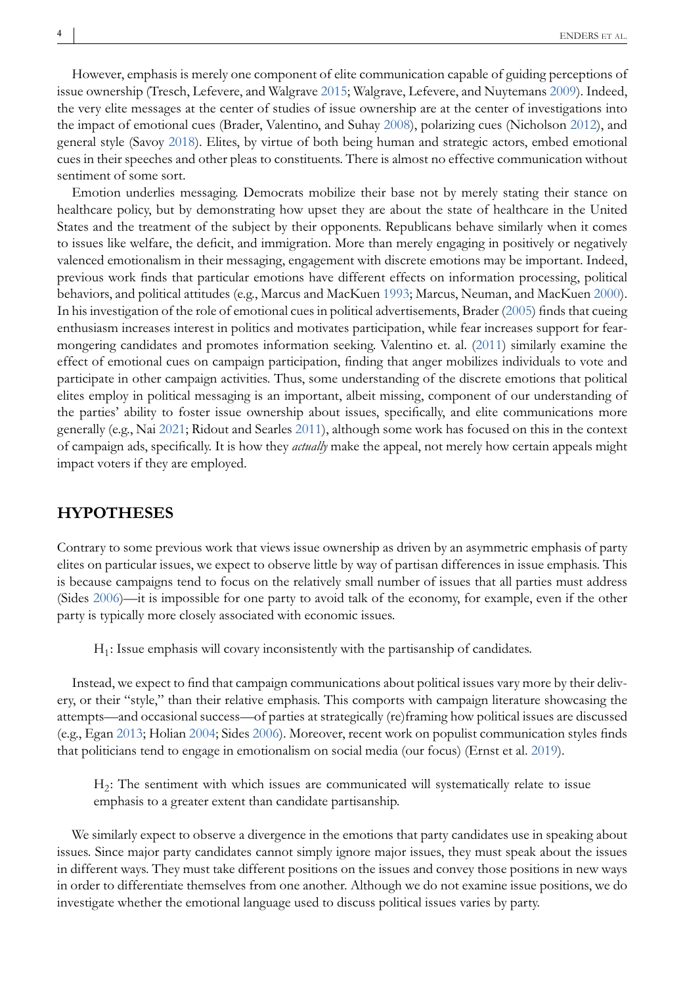However, emphasis is merely one component of elite communication capable of guiding perceptions of issue ownership (Tresch, Lefevere, and Walgrave [2015;](#page-15-0) Walgrave, Lefevere, and Nuytemans [2009\)](#page-15-0). Indeed, the very elite messages at the center of studies of issue ownership are at the center of investigations into the impact of emotional cues (Brader, Valentino, and Suhay [2008\)](#page-14-0), polarizing cues (Nicholson [2012\)](#page-15-0), and general style (Savoy [2018\)](#page-15-0). Elites, by virtue of both being human and strategic actors, embed emotional cues in their speeches and other pleas to constituents. There is almost no effective communication without sentiment of some sort.

Emotion underlies messaging. Democrats mobilize their base not by merely stating their stance on healthcare policy, but by demonstrating how upset they are about the state of healthcare in the United States and the treatment of the subject by their opponents. Republicans behave similarly when it comes to issues like welfare, the deficit, and immigration. More than merely engaging in positively or negatively valenced emotionalism in their messaging, engagement with discrete emotions may be important. Indeed, previous work finds that particular emotions have different effects on information processing, political behaviors, and political attitudes (e.g., Marcus and MacKuen [1993;](#page-15-0) Marcus, Neuman, and MacKuen [2000\)](#page-15-0). In his investigation of the role of emotional cues in political advertisements, Brader [\(2005\)](#page-14-0) finds that cueing enthusiasm increases interest in politics and motivates participation, while fear increases support for fearmongering candidates and promotes information seeking. Valentino et. al. [\(2011\)](#page-15-0) similarly examine the effect of emotional cues on campaign participation, finding that anger mobilizes individuals to vote and participate in other campaign activities. Thus, some understanding of the discrete emotions that political elites employ in political messaging is an important, albeit missing, component of our understanding of the parties' ability to foster issue ownership about issues, specifically, and elite communications more generally (e.g., Nai [2021;](#page-15-0) Ridout and Searles [2011\)](#page-15-0), although some work has focused on this in the context of campaign ads, specifically. It is how they *actually* make the appeal, not merely how certain appeals might impact voters if they are employed.

# **HYPOTHESES**

Contrary to some previous work that views issue ownership as driven by an asymmetric emphasis of party elites on particular issues, we expect to observe little by way of partisan differences in issue emphasis. This is because campaigns tend to focus on the relatively small number of issues that all parties must address (Sides [2006\)](#page-15-0)—it is impossible for one party to avoid talk of the economy, for example, even if the other party is typically more closely associated with economic issues.

 $H_1$ : Issue emphasis will covary inconsistently with the partisanship of candidates.

Instead, we expect to find that campaign communications about political issues vary more by their delivery, or their "style," than their relative emphasis. This comports with campaign literature showcasing the attempts—and occasional success—of parties at strategically (re)framing how political issues are discussed (e.g., Egan [2013;](#page-14-0) Holian [2004;](#page-14-0) Sides [2006\)](#page-15-0). Moreover, recent work on populist communication styles finds that politicians tend to engage in emotionalism on social media (our focus) (Ernst et al. [2019\)](#page-14-0).

H2: The sentiment with which issues are communicated will systematically relate to issue emphasis to a greater extent than candidate partisanship.

We similarly expect to observe a divergence in the emotions that party candidates use in speaking about issues. Since major party candidates cannot simply ignore major issues, they must speak about the issues in different ways. They must take different positions on the issues and convey those positions in new ways in order to differentiate themselves from one another. Although we do not examine issue positions, we do investigate whether the emotional language used to discuss political issues varies by party.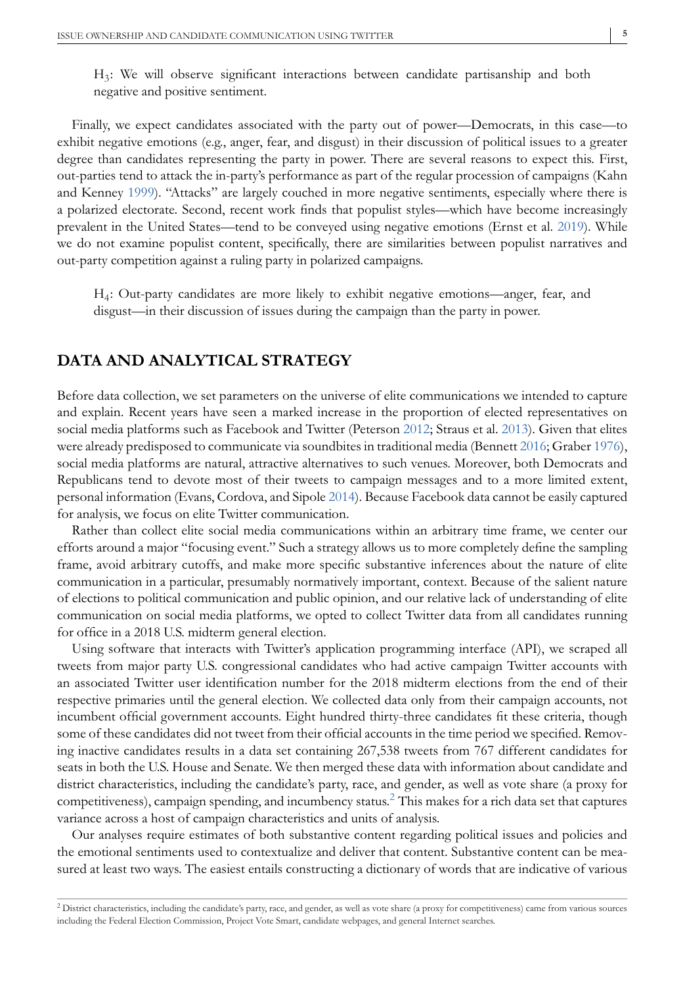H3: We will observe significant interactions between candidate partisanship and both negative and positive sentiment.

Finally, we expect candidates associated with the party out of power—Democrats, in this case—to exhibit negative emotions (e.g., anger, fear, and disgust) in their discussion of political issues to a greater degree than candidates representing the party in power. There are several reasons to expect this. First, out-parties tend to attack the in-party's performance as part of the regular procession of campaigns (Kahn and Kenney [1999\)](#page-14-0). "Attacks" are largely couched in more negative sentiments, especially where there is a polarized electorate. Second, recent work finds that populist styles—which have become increasingly prevalent in the United States—tend to be conveyed using negative emotions (Ernst et al. [2019\)](#page-14-0). While we do not examine populist content, specifically, there are similarities between populist narratives and out-party competition against a ruling party in polarized campaigns.

H4: Out-party candidates are more likely to exhibit negative emotions—anger, fear, and disgust—in their discussion of issues during the campaign than the party in power.

## **DATA AND ANALYTICAL STRATEGY**

Before data collection, we set parameters on the universe of elite communications we intended to capture and explain. Recent years have seen a marked increase in the proportion of elected representatives on social media platforms such as Facebook and Twitter (Peterson [2012;](#page-15-0) Straus et al. [2013\)](#page-15-0). Given that elites were already predisposed to communicate via soundbites in traditional media (Bennett [2016;](#page-14-0) Graber [1976\)](#page-14-0), social media platforms are natural, attractive alternatives to such venues. Moreover, both Democrats and Republicans tend to devote most of their tweets to campaign messages and to a more limited extent, personal information (Evans, Cordova, and Sipole [2014\)](#page-14-0). Because Facebook data cannot be easily captured for analysis, we focus on elite Twitter communication.

Rather than collect elite social media communications within an arbitrary time frame, we center our efforts around a major "focusing event." Such a strategy allows us to more completely define the sampling frame, avoid arbitrary cutoffs, and make more specific substantive inferences about the nature of elite communication in a particular, presumably normatively important, context. Because of the salient nature of elections to political communication and public opinion, and our relative lack of understanding of elite communication on social media platforms, we opted to collect Twitter data from all candidates running for office in a 2018 U.S. midterm general election.

Using software that interacts with Twitter's application programming interface (API), we scraped all tweets from major party U.S. congressional candidates who had active campaign Twitter accounts with an associated Twitter user identification number for the 2018 midterm elections from the end of their respective primaries until the general election. We collected data only from their campaign accounts, not incumbent official government accounts. Eight hundred thirty-three candidates fit these criteria, though some of these candidates did not tweet from their official accounts in the time period we specified. Removing inactive candidates results in a data set containing 267,538 tweets from 767 different candidates for seats in both the U.S. House and Senate. We then merged these data with information about candidate and district characteristics, including the candidate's party, race, and gender, as well as vote share (a proxy for competitiveness), campaign spending, and incumbency status.<sup>2</sup> This makes for a rich data set that captures variance across a host of campaign characteristics and units of analysis.

Our analyses require estimates of both substantive content regarding political issues and policies and the emotional sentiments used to contextualize and deliver that content. Substantive content can be measured at least two ways. The easiest entails constructing a dictionary of words that are indicative of various

<sup>&</sup>lt;sup>2</sup> District characteristics, including the candidate's party, race, and gender, as well as vote share (a proxy for competitiveness) came from various sources including the Federal Election Commission, Project Vote Smart, candidate webpages, and general Internet searches.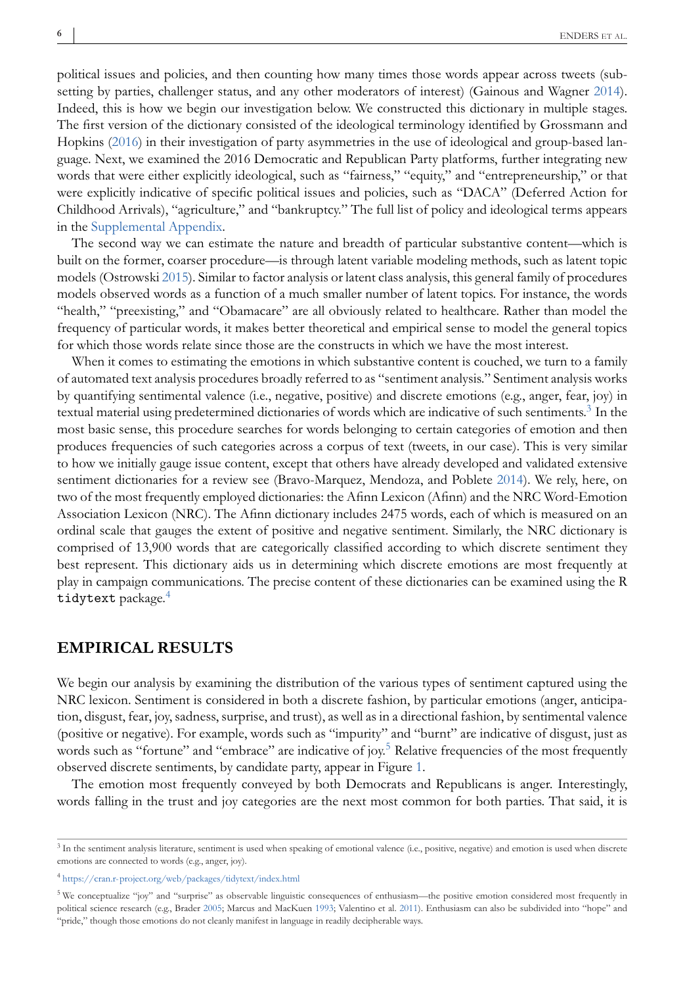political issues and policies, and then counting how many times those words appear across tweets (subsetting by parties, challenger status, and any other moderators of interest) (Gainous and Wagner [2014\)](#page-14-0). Indeed, this is how we begin our investigation below. We constructed this dictionary in multiple stages. The first version of the dictionary consisted of the ideological terminology identified by Grossmann and Hopkins [\(2016\)](#page-14-0) in their investigation of party asymmetries in the use of ideological and group-based language. Next, we examined the 2016 Democratic and Republican Party platforms, further integrating new words that were either explicitly ideological, such as "fairness," "equity," and "entrepreneurship," or that were explicitly indicative of specific political issues and policies, such as "DACA" (Deferred Action for Childhood Arrivals), "agriculture," and "bankruptcy." The full list of policy and ideological terms appears in the Supplemental Appendix.

The second way we can estimate the nature and breadth of particular substantive content—which is built on the former, coarser procedure—is through latent variable modeling methods, such as latent topic models (Ostrowski [2015\)](#page-15-0). Similar to factor analysis or latent class analysis, this general family of procedures models observed words as a function of a much smaller number of latent topics. For instance, the words "health," "preexisting," and "Obamacare" are all obviously related to healthcare. Rather than model the frequency of particular words, it makes better theoretical and empirical sense to model the general topics for which those words relate since those are the constructs in which we have the most interest.

When it comes to estimating the emotions in which substantive content is couched, we turn to a family of automated text analysis procedures broadly referred to as "sentiment analysis." Sentiment analysis works by quantifying sentimental valence (i.e., negative, positive) and discrete emotions (e.g., anger, fear, joy) in textual material using predetermined dictionaries of words which are indicative of such sentiments.<sup>3</sup> In the most basic sense, this procedure searches for words belonging to certain categories of emotion and then produces frequencies of such categories across a corpus of text (tweets, in our case). This is very similar to how we initially gauge issue content, except that others have already developed and validated extensive sentiment dictionaries for a review see (Bravo-Marquez, Mendoza, and Poblete [2014\)](#page-14-0). We rely, here, on two of the most frequently employed dictionaries: the Afinn Lexicon (Afinn) and the NRC Word-Emotion Association Lexicon (NRC). The Afinn dictionary includes 2475 words, each of which is measured on an ordinal scale that gauges the extent of positive and negative sentiment. Similarly, the NRC dictionary is comprised of 13,900 words that are categorically classified according to which discrete sentiment they best represent. This dictionary aids us in determining which discrete emotions are most frequently at play in campaign communications. The precise content of these dictionaries can be examined using the R tidytext package.<sup>4</sup>

## **EMPIRICAL RESULTS**

We begin our analysis by examining the distribution of the various types of sentiment captured using the NRC lexicon. Sentiment is considered in both a discrete fashion, by particular emotions (anger, anticipation, disgust, fear, joy, sadness, surprise, and trust), as well as in a directional fashion, by sentimental valence (positive or negative). For example, words such as "impurity" and "burnt" are indicative of disgust, just as words such as "fortune" and "embrace" are indicative of joy.<sup>5</sup> Relative frequencies of the most frequently observed discrete sentiments, by candidate party, appear in Figure [1.](#page-6-0)

The emotion most frequently conveyed by both Democrats and Republicans is anger. Interestingly, words falling in the trust and joy categories are the next most common for both parties. That said, it is

 $3$  In the sentiment analysis literature, sentiment is used when speaking of emotional valence (i.e., positive, negative) and emotion is used when discrete emotions are connected to words (e.g., anger, joy).

 $^4$ <https://cran.r-project.org/web/packages/tidytext/index.html>

<sup>5</sup> We conceptualize "joy" and "surprise" as observable linguistic consequences of enthusiasm—the positive emotion considered most frequently in political science research (e.g., Brader [2005;](#page-14-0) Marcus and MacKuen [1993;](#page-15-0) Valentino et al. [2011\)](#page-15-0). Enthusiasm can also be subdivided into "hope" and "pride," though those emotions do not cleanly manifest in language in readily decipherable ways.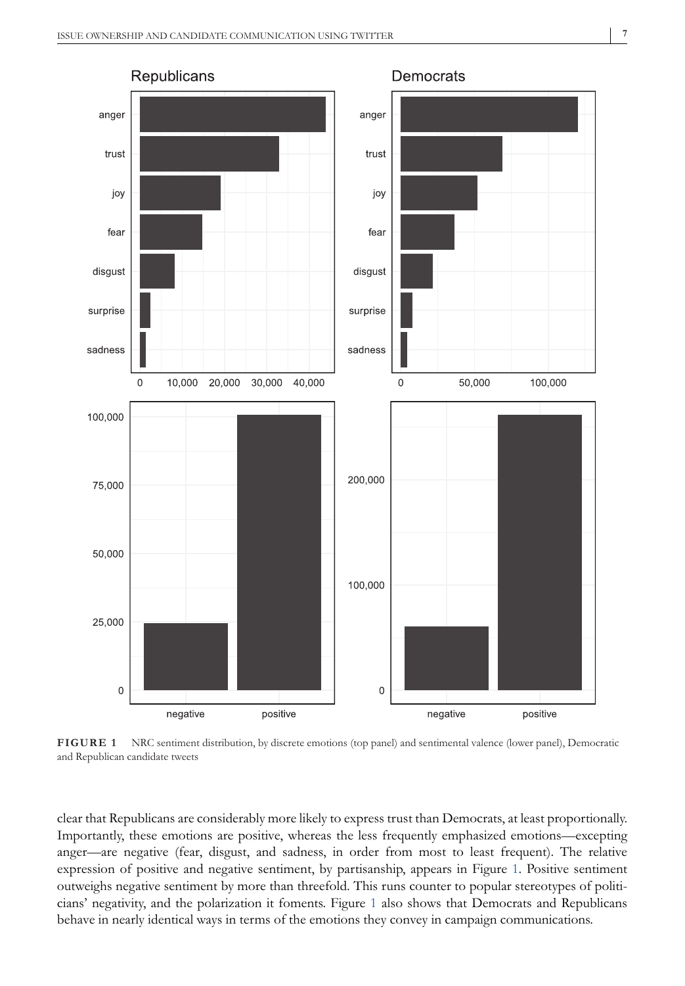<span id="page-6-0"></span>

**FIGURE 1** NRC sentiment distribution, by discrete emotions (top panel) and sentimental valence (lower panel), Democratic and Republican candidate tweets

clear that Republicans are considerably more likely to express trust than Democrats, at least proportionally. Importantly, these emotions are positive, whereas the less frequently emphasized emotions—excepting anger—are negative (fear, disgust, and sadness, in order from most to least frequent). The relative expression of positive and negative sentiment, by partisanship, appears in Figure 1. Positive sentiment outweighs negative sentiment by more than threefold. This runs counter to popular stereotypes of politicians' negativity, and the polarization it foments. Figure 1 also shows that Democrats and Republicans behave in nearly identical ways in terms of the emotions they convey in campaign communications.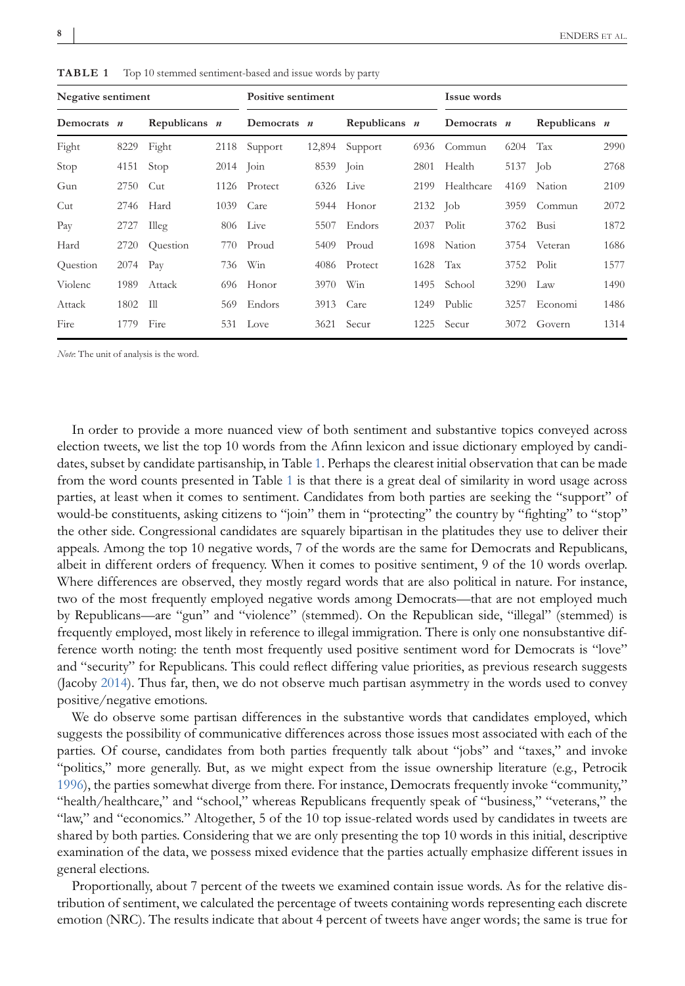| Negative sentiment |            |                 |             | <b>Positive sentiment</b> |           | <b>Issue words</b> |            |             |      |                 |      |
|--------------------|------------|-----------------|-------------|---------------------------|-----------|--------------------|------------|-------------|------|-----------------|------|
| Democrats $n$      |            | Republicans $n$ |             | Democrats $n$             |           | Republicans $n$    |            | Democrats n |      | Republicans $n$ |      |
| Fight              | 8229       | Fight           |             | 2118 Support              |           | 12,894 Support     | 6936       | Commun      | 6204 | Tax             | 2990 |
| Stop               | 4151       | Stop            | $2014$ Join |                           | 8539 Join |                    | 2801       | Health      | 5137 | - Job           | 2768 |
| Gun                | 2750       | Cut             | 1126        | Protect                   | 6326      | Live               | 2199       | Healthcare  | 4169 | Nation          | 2109 |
| Cut                | 2746       | Hard            | 1039        | Care                      |           | 5944 Honor         | $2132$ Job |             | 3959 | Commun          | 2072 |
| Pay                | 2727 Illeg |                 |             | 806 Live                  | 5507      | Endors             | 2037       | Polit       | 3762 | Busi            | 1872 |
| Hard               | 2720       | Ouestion        | 770         | Proud                     | 5409      | Proud              | 1698       | Nation      |      | 3754 Veteran    | 1686 |
| Question           | 2074 Pay   |                 | 736         | Win                       |           | 4086 Protect       | 1628       | Tax         | 3752 | Polit           | 1577 |
| Violenc            | 1989       | Attack          | 696         | Honor                     | 3970      | Win                | 1495       | School      | 3290 | Law             | 1490 |
| Attack             | 1802 Ill   |                 | 569         | Endors                    |           | 3913 Care          | 1249       | Public      | 3257 | Economi         | 1486 |
| Fire               | 1779       | Fire            |             | 531 Love                  | 3621      | Secur              | 1225       | Secur       | 3072 | Govern          | 1314 |

<span id="page-7-0"></span>**TABLE 1** Top 10 stemmed sentiment-based and issue words by party

*Note*: The unit of analysis is the word.

In order to provide a more nuanced view of both sentiment and substantive topics conveyed across election tweets, we list the top 10 words from the Afinn lexicon and issue dictionary employed by candidates, subset by candidate partisanship, in Table 1. Perhaps the clearest initial observation that can be made from the word counts presented in Table 1 is that there is a great deal of similarity in word usage across parties, at least when it comes to sentiment. Candidates from both parties are seeking the "support" of would-be constituents, asking citizens to "join" them in "protecting" the country by "fighting" to "stop" the other side. Congressional candidates are squarely bipartisan in the platitudes they use to deliver their appeals. Among the top 10 negative words, 7 of the words are the same for Democrats and Republicans, albeit in different orders of frequency. When it comes to positive sentiment, 9 of the 10 words overlap. Where differences are observed, they mostly regard words that are also political in nature. For instance, two of the most frequently employed negative words among Democrats—that are not employed much by Republicans—are "gun" and "violence" (stemmed). On the Republican side, "illegal" (stemmed) is frequently employed, most likely in reference to illegal immigration. There is only one nonsubstantive difference worth noting: the tenth most frequently used positive sentiment word for Democrats is "love" and "security" for Republicans. This could reflect differing value priorities, as previous research suggests (Jacoby [2014\)](#page-14-0). Thus far, then, we do not observe much partisan asymmetry in the words used to convey positive/negative emotions.

We do observe some partisan differences in the substantive words that candidates employed, which suggests the possibility of communicative differences across those issues most associated with each of the parties. Of course, candidates from both parties frequently talk about "jobs" and "taxes," and invoke "politics," more generally. But, as we might expect from the issue ownership literature (e.g., Petrocik [1996\)](#page-15-0), the parties somewhat diverge from there. For instance, Democrats frequently invoke "community," "health/healthcare," and "school," whereas Republicans frequently speak of "business," "veterans," the "law," and "economics." Altogether, 5 of the 10 top issue-related words used by candidates in tweets are shared by both parties. Considering that we are only presenting the top 10 words in this initial, descriptive examination of the data, we possess mixed evidence that the parties actually emphasize different issues in general elections.

Proportionally, about 7 percent of the tweets we examined contain issue words. As for the relative distribution of sentiment, we calculated the percentage of tweets containing words representing each discrete emotion (NRC). The results indicate that about 4 percent of tweets have anger words; the same is true for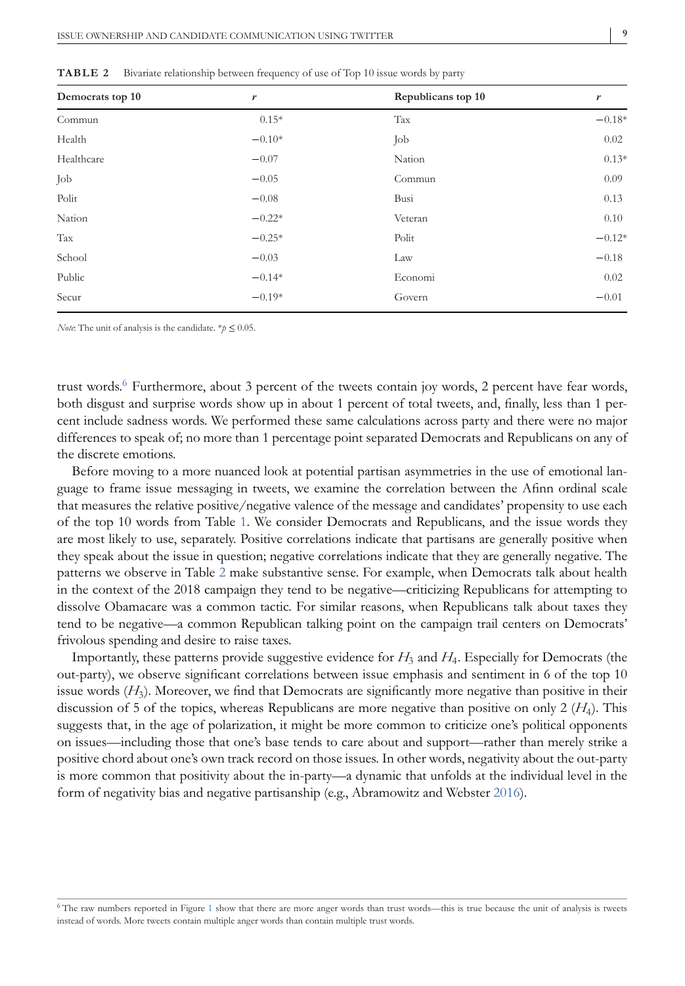| Democrats top 10 | r        | Republicans top 10 | r        |
|------------------|----------|--------------------|----------|
| Commun           | $0.15*$  | Tax                | $-0.18*$ |
| Health           | $-0.10*$ | Job                | 0.02     |
| Healthcare       | $-0.07$  | Nation             | $0.13*$  |
| Job              | $-0.05$  | Commun             | 0.09     |
| Polit            | $-0.08$  | Busi               | 0.13     |
| Nation           | $-0.22*$ | Veteran            | 0.10     |
| Tax              | $-0.25*$ | Polit              | $-0.12*$ |
| School           | $-0.03$  | Law                | $-0.18$  |
| Public           | $-0.14*$ | Economi            | 0.02     |
| Secur            | $-0.19*$ | Govern             | $-0.01$  |

**TABLE 2** Bivariate relationship between frequency of use of Top 10 issue words by party

*Note*: The unit of analysis is the candidate.  $*\hat{p} \leq 0.05$ .

trust words.<sup>6</sup> Furthermore, about 3 percent of the tweets contain joy words, 2 percent have fear words, both disgust and surprise words show up in about 1 percent of total tweets, and, finally, less than 1 percent include sadness words. We performed these same calculations across party and there were no major differences to speak of; no more than 1 percentage point separated Democrats and Republicans on any of the discrete emotions.

Before moving to a more nuanced look at potential partisan asymmetries in the use of emotional language to frame issue messaging in tweets, we examine the correlation between the Afinn ordinal scale that measures the relative positive/negative valence of the message and candidates' propensity to use each of the top 10 words from Table [1.](#page-7-0) We consider Democrats and Republicans, and the issue words they are most likely to use, separately. Positive correlations indicate that partisans are generally positive when they speak about the issue in question; negative correlations indicate that they are generally negative. The patterns we observe in Table 2 make substantive sense. For example, when Democrats talk about health in the context of the 2018 campaign they tend to be negative—criticizing Republicans for attempting to dissolve Obamacare was a common tactic. For similar reasons, when Republicans talk about taxes they tend to be negative—a common Republican talking point on the campaign trail centers on Democrats' frivolous spending and desire to raise taxes.

Importantly, these patterns provide suggestive evidence for *H*<sup>3</sup> and *H*4. Especially for Democrats (the out-party), we observe significant correlations between issue emphasis and sentiment in 6 of the top 10 issue words (*H*3). Moreover, we find that Democrats are significantly more negative than positive in their discussion of 5 of the topics, whereas Republicans are more negative than positive on only 2 (*H*4). This suggests that, in the age of polarization, it might be more common to criticize one's political opponents on issues—including those that one's base tends to care about and support—rather than merely strike a positive chord about one's own track record on those issues. In other words, negativity about the out-party is more common that positivity about the in-party—a dynamic that unfolds at the individual level in the form of negativity bias and negative partisanship (e.g., Abramowitz and Webster [2016\)](#page-14-0).

<sup>6</sup> The raw numbers reported in Figure [1](#page-6-0) show that there are more anger words than trust words—this is true because the unit of analysis is tweets instead of words. More tweets contain multiple anger words than contain multiple trust words.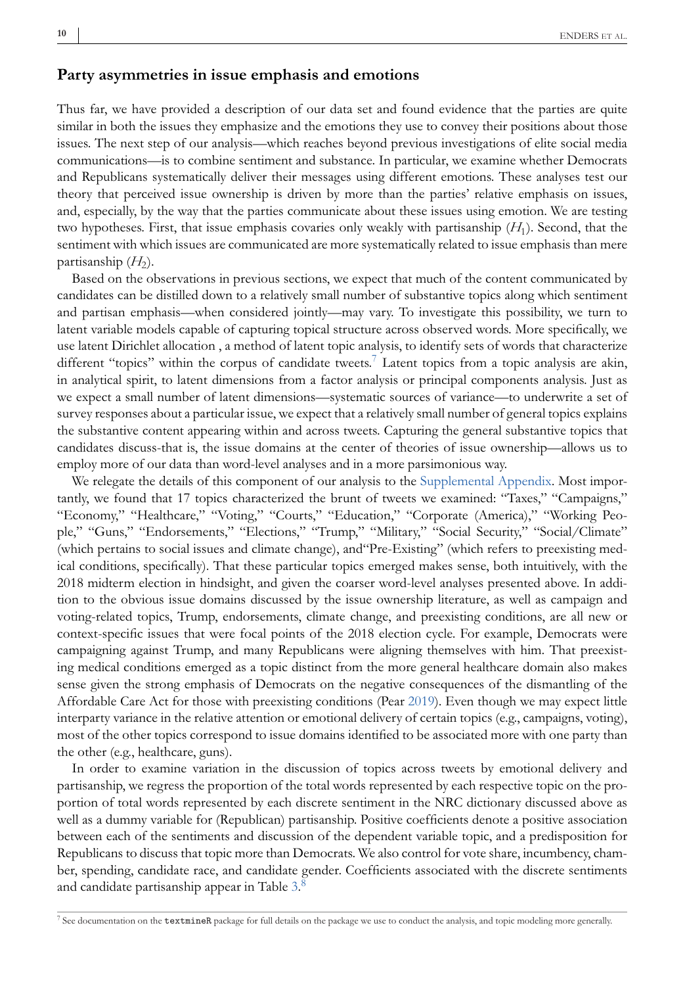# **Party asymmetries in issue emphasis and emotions**

Thus far, we have provided a description of our data set and found evidence that the parties are quite similar in both the issues they emphasize and the emotions they use to convey their positions about those issues. The next step of our analysis—which reaches beyond previous investigations of elite social media communications—is to combine sentiment and substance. In particular, we examine whether Democrats and Republicans systematically deliver their messages using different emotions. These analyses test our theory that perceived issue ownership is driven by more than the parties' relative emphasis on issues, and, especially, by the way that the parties communicate about these issues using emotion. We are testing two hypotheses. First, that issue emphasis covaries only weakly with partisanship (*H*1). Second, that the sentiment with which issues are communicated are more systematically related to issue emphasis than mere partisanship  $(H<sub>2</sub>)$ .

Based on the observations in previous sections, we expect that much of the content communicated by candidates can be distilled down to a relatively small number of substantive topics along which sentiment and partisan emphasis—when considered jointly—may vary. To investigate this possibility, we turn to latent variable models capable of capturing topical structure across observed words. More specifically, we use latent Dirichlet allocation , a method of latent topic analysis, to identify sets of words that characterize different "topics" within the corpus of candidate tweets.<sup>7</sup> Latent topics from a topic analysis are akin, in analytical spirit, to latent dimensions from a factor analysis or principal components analysis. Just as we expect a small number of latent dimensions—systematic sources of variance—to underwrite a set of survey responses about a particular issue, we expect that a relatively small number of general topics explains the substantive content appearing within and across tweets. Capturing the general substantive topics that candidates discuss-that is, the issue domains at the center of theories of issue ownership—allows us to employ more of our data than word-level analyses and in a more parsimonious way.

We relegate the details of this component of our analysis to the Supplemental Appendix. Most importantly, we found that 17 topics characterized the brunt of tweets we examined: "Taxes," "Campaigns," "Economy," "Healthcare," "Voting," "Courts," "Education," "Corporate (America)," "Working People," "Guns," "Endorsements," "Elections," "Trump," "Military," "Social Security," "Social/Climate" (which pertains to social issues and climate change), and"Pre-Existing" (which refers to preexisting medical conditions, specifically). That these particular topics emerged makes sense, both intuitively, with the 2018 midterm election in hindsight, and given the coarser word-level analyses presented above. In addition to the obvious issue domains discussed by the issue ownership literature, as well as campaign and voting-related topics, Trump, endorsements, climate change, and preexisting conditions, are all new or context-specific issues that were focal points of the 2018 election cycle. For example, Democrats were campaigning against Trump, and many Republicans were aligning themselves with him. That preexisting medical conditions emerged as a topic distinct from the more general healthcare domain also makes sense given the strong emphasis of Democrats on the negative consequences of the dismantling of the Affordable Care Act for those with preexisting conditions (Pear [2019\)](#page-15-0). Even though we may expect little interparty variance in the relative attention or emotional delivery of certain topics (e.g., campaigns, voting), most of the other topics correspond to issue domains identified to be associated more with one party than the other (e.g., healthcare, guns).

In order to examine variation in the discussion of topics across tweets by emotional delivery and partisanship, we regress the proportion of the total words represented by each respective topic on the proportion of total words represented by each discrete sentiment in the NRC dictionary discussed above as well as a dummy variable for (Republican) partisanship. Positive coefficients denote a positive association between each of the sentiments and discussion of the dependent variable topic, and a predisposition for Republicans to discuss that topic more than Democrats. We also control for vote share, incumbency, chamber, spending, candidate race, and candidate gender. Coefficients associated with the discrete sentiments and candidate partisanship appear in Table [3.](#page-10-0)[8](#page-11-0)

<sup>7</sup> See documentation on the textmineR package for full details on the package we use to conduct the analysis, and topic modeling more generally.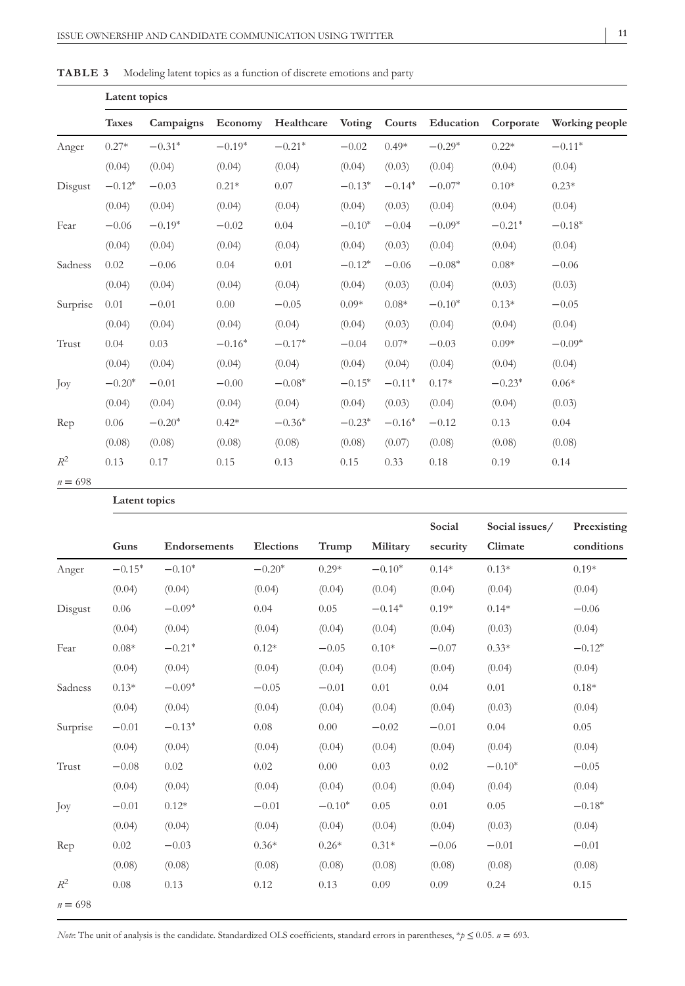| -- | - 1 |
|----|-----|

<span id="page-10-0"></span>

| TABLE 3<br>Modeling latent topics as a function of discrete emotions and party |  |
|--------------------------------------------------------------------------------|--|
|--------------------------------------------------------------------------------|--|

|           | Latent topics |           |          |            |               |          |           |           |                |  |  |  |  |
|-----------|---------------|-----------|----------|------------|---------------|----------|-----------|-----------|----------------|--|--|--|--|
|           | <b>Taxes</b>  | Campaigns | Economy  | Healthcare | <b>Voting</b> | Courts   | Education | Corporate | Working people |  |  |  |  |
| Anger     | $0.27*$       | $-0.31*$  | $-0.19*$ | $-0.21*$   | $-0.02$       | $0.49*$  | $-0.29*$  | $0.22*$   | $-0.11*$       |  |  |  |  |
|           | (0.04)        | (0.04)    | (0.04)   | (0.04)     | (0.04)        | (0.03)   | (0.04)    | (0.04)    | (0.04)         |  |  |  |  |
| Disgust   | $-0.12*$      | $-0.03$   | $0.21*$  | 0.07       | $-0.13*$      | $-0.14*$ | $-0.07*$  | $0.10*$   | $0.23*$        |  |  |  |  |
|           | (0.04)        | (0.04)    | (0.04)   | (0.04)     | (0.04)        | (0.03)   | (0.04)    | (0.04)    | (0.04)         |  |  |  |  |
| Fear      | $-0.06$       | $-0.19*$  | $-0.02$  | 0.04       | $-0.10*$      | $-0.04$  | $-0.09*$  | $-0.21*$  | $-0.18*$       |  |  |  |  |
|           | (0.04)        | (0.04)    | (0.04)   | (0.04)     | (0.04)        | (0.03)   | (0.04)    | (0.04)    | (0.04)         |  |  |  |  |
| Sadness   | 0.02          | $-0.06$   | 0.04     | 0.01       | $-0.12*$      | $-0.06$  | $-0.08*$  | $0.08*$   | $-0.06$        |  |  |  |  |
|           | (0.04)        | (0.04)    | (0.04)   | (0.04)     | (0.04)        | (0.03)   | (0.04)    | (0.03)    | (0.03)         |  |  |  |  |
| Surprise  | 0.01          | $-0.01$   | 0.00     | $-0.05$    | $0.09*$       | $0.08*$  | $-0.10*$  | $0.13*$   | $-0.05$        |  |  |  |  |
|           | (0.04)        | (0.04)    | (0.04)   | (0.04)     | (0.04)        | (0.03)   | (0.04)    | (0.04)    | (0.04)         |  |  |  |  |
| Trust     | 0.04          | 0.03      | $-0.16*$ | $-0.17*$   | $-0.04$       | $0.07*$  | $-0.03$   | $0.09*$   | $-0.09*$       |  |  |  |  |
|           | (0.04)        | (0.04)    | (0.04)   | (0.04)     | (0.04)        | (0.04)   | (0.04)    | (0.04)    | (0.04)         |  |  |  |  |
| Joy       | $-0.20*$      | $-0.01$   | $-0.00$  | $-0.08*$   | $-0.15*$      | $-0.11*$ | $0.17*$   | $-0.23*$  | $0.06*$        |  |  |  |  |
|           | (0.04)        | (0.04)    | (0.04)   | (0.04)     | (0.04)        | (0.03)   | (0.04)    | (0.04)    | (0.03)         |  |  |  |  |
| Rep       | 0.06          | $-0.20*$  | $0.42*$  | $-0.36*$   | $-0.23*$      | $-0.16*$ | $-0.12$   | 0.13      | 0.04           |  |  |  |  |
|           | (0.08)        | (0.08)    | (0.08)   | (0.08)     | (0.08)        | (0.07)   | (0.08)    | (0.08)    | (0.08)         |  |  |  |  |
| $R^2$     | 0.13          | 0.17      | 0.15     | 0.13       | 0.15          | 0.33     | 0.18      | 0.19      | 0.14           |  |  |  |  |
| $n = 698$ |               |           |          |            |               |          |           |           |                |  |  |  |  |

## **Latent topics**

|           |          |              |           |          |          | Social   | Social issues/ | Preexisting |
|-----------|----------|--------------|-----------|----------|----------|----------|----------------|-------------|
|           | Guns     | Endorsements | Elections | Trump    | Military | security | Climate        | conditions  |
| Anger     | $-0.15*$ | $-0.10*$     | $-0.20*$  | $0.29*$  | $-0.10*$ | $0.14*$  | $0.13*$        | $0.19*$     |
|           | (0.04)   | (0.04)       | (0.04)    | (0.04)   | (0.04)   | (0.04)   | (0.04)         | (0.04)      |
| Disgust   | 0.06     | $-0.09*$     | 0.04      | 0.05     | $-0.14*$ | $0.19*$  | $0.14*$        | $-0.06$     |
|           | (0.04)   | (0.04)       | (0.04)    | (0.04)   | (0.04)   | (0.04)   | (0.03)         | (0.04)      |
| Fear      | $0.08*$  | $-0.21*$     | $0.12*$   | $-0.05$  | $0.10*$  | $-0.07$  | $0.33*$        | $-0.12*$    |
|           | (0.04)   | (0.04)       | (0.04)    | (0.04)   | (0.04)   | (0.04)   | (0.04)         | (0.04)      |
| Sadness   | $0.13*$  | $-0.09*$     | $-0.05$   | $-0.01$  | 0.01     | 0.04     | 0.01           | $0.18*$     |
|           | (0.04)   | (0.04)       | (0.04)    | (0.04)   | (0.04)   | (0.04)   | (0.03)         | (0.04)      |
| Surprise  | $-0.01$  | $-0.13*$     | 0.08      | 0.00     | $-0.02$  | $-0.01$  | 0.04           | 0.05        |
|           | (0.04)   | (0.04)       | (0.04)    | (0.04)   | (0.04)   | (0.04)   | (0.04)         | (0.04)      |
| Trust     | $-0.08$  | 0.02         | 0.02      | 0.00     | 0.03     | 0.02     | $-0.10*$       | $-0.05$     |
|           | (0.04)   | (0.04)       | (0.04)    | (0.04)   | (0.04)   | (0.04)   | (0.04)         | (0.04)      |
| Joy       | $-0.01$  | $0.12*$      | $-0.01$   | $-0.10*$ | 0.05     | 0.01     | 0.05           | $-0.18*$    |
|           | (0.04)   | (0.04)       | (0.04)    | (0.04)   | (0.04)   | (0.04)   | (0.03)         | (0.04)      |
| Rep       | 0.02     | $-0.03$      | $0.36*$   | $0.26*$  | $0.31*$  | $-0.06$  | $-0.01$        | $-0.01$     |
|           | (0.08)   | (0.08)       | (0.08)    | (0.08)   | (0.08)   | (0.08)   | (0.08)         | (0.08)      |
| $R^2$     | 0.08     | 0.13         | 0.12      | 0.13     | 0.09     | 0.09     | 0.24           | 0.15        |
| $n = 698$ |          |              |           |          |          |          |                |             |

*Note*: The unit of analysis is the candidate. Standardized OLS coefficients, standard errors in parentheses, \**p* ≤ 0.05. *n* = 693.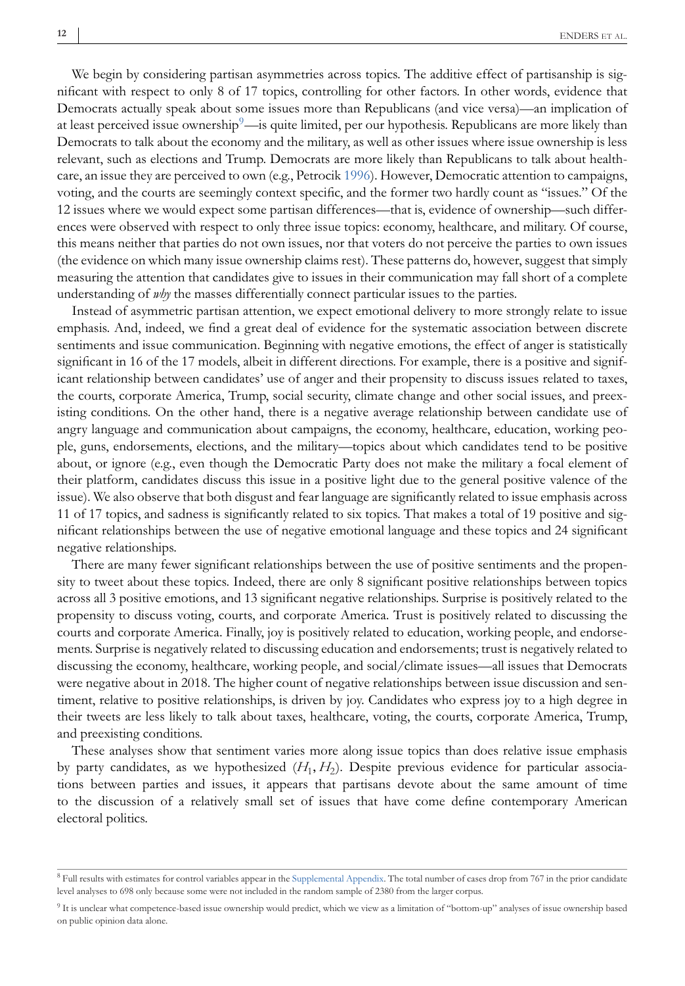<span id="page-11-0"></span>We begin by considering partisan asymmetries across topics. The additive effect of partisanship is significant with respect to only 8 of 17 topics, controlling for other factors. In other words, evidence that Democrats actually speak about some issues more than Republicans (and vice versa)—an implication of at least perceived issue ownership $9$ —is quite limited, per our hypothesis. Republicans are more likely than Democrats to talk about the economy and the military, as well as other issues where issue ownership is less relevant, such as elections and Trump. Democrats are more likely than Republicans to talk about healthcare, an issue they are perceived to own (e.g., Petrocik [1996\)](#page-15-0). However, Democratic attention to campaigns, voting, and the courts are seemingly context specific, and the former two hardly count as "issues." Of the 12 issues where we would expect some partisan differences—that is, evidence of ownership—such differences were observed with respect to only three issue topics: economy, healthcare, and military. Of course, this means neither that parties do not own issues, nor that voters do not perceive the parties to own issues (the evidence on which many issue ownership claims rest). These patterns do, however, suggest that simply measuring the attention that candidates give to issues in their communication may fall short of a complete understanding of *why* the masses differentially connect particular issues to the parties.

Instead of asymmetric partisan attention, we expect emotional delivery to more strongly relate to issue emphasis. And, indeed, we find a great deal of evidence for the systematic association between discrete sentiments and issue communication. Beginning with negative emotions, the effect of anger is statistically significant in 16 of the 17 models, albeit in different directions. For example, there is a positive and significant relationship between candidates' use of anger and their propensity to discuss issues related to taxes, the courts, corporate America, Trump, social security, climate change and other social issues, and preexisting conditions. On the other hand, there is a negative average relationship between candidate use of angry language and communication about campaigns, the economy, healthcare, education, working people, guns, endorsements, elections, and the military—topics about which candidates tend to be positive about, or ignore (e.g., even though the Democratic Party does not make the military a focal element of their platform, candidates discuss this issue in a positive light due to the general positive valence of the issue). We also observe that both disgust and fear language are significantly related to issue emphasis across 11 of 17 topics, and sadness is significantly related to six topics. That makes a total of 19 positive and significant relationships between the use of negative emotional language and these topics and 24 significant negative relationships.

There are many fewer significant relationships between the use of positive sentiments and the propensity to tweet about these topics. Indeed, there are only 8 significant positive relationships between topics across all 3 positive emotions, and 13 significant negative relationships. Surprise is positively related to the propensity to discuss voting, courts, and corporate America. Trust is positively related to discussing the courts and corporate America. Finally, joy is positively related to education, working people, and endorsements. Surprise is negatively related to discussing education and endorsements; trust is negatively related to discussing the economy, healthcare, working people, and social/climate issues—all issues that Democrats were negative about in 2018. The higher count of negative relationships between issue discussion and sentiment, relative to positive relationships, is driven by joy. Candidates who express joy to a high degree in their tweets are less likely to talk about taxes, healthcare, voting, the courts, corporate America, Trump, and preexisting conditions.

These analyses show that sentiment varies more along issue topics than does relative issue emphasis by party candidates, as we hypothesized (*H*1, *H*2). Despite previous evidence for particular associations between parties and issues, it appears that partisans devote about the same amount of time to the discussion of a relatively small set of issues that have come define contemporary American electoral politics.

<sup>&</sup>lt;sup>8</sup> Full results with estimates for control variables appear in the Supplemental Appendix. The total number of cases drop from 767 in the prior candidate level analyses to 698 only because some were not included in the random sample of 2380 from the larger corpus.

<sup>9</sup> It is unclear what competence-based issue ownership would predict, which we view as a limitation of "bottom-up" analyses of issue ownership based on public opinion data alone.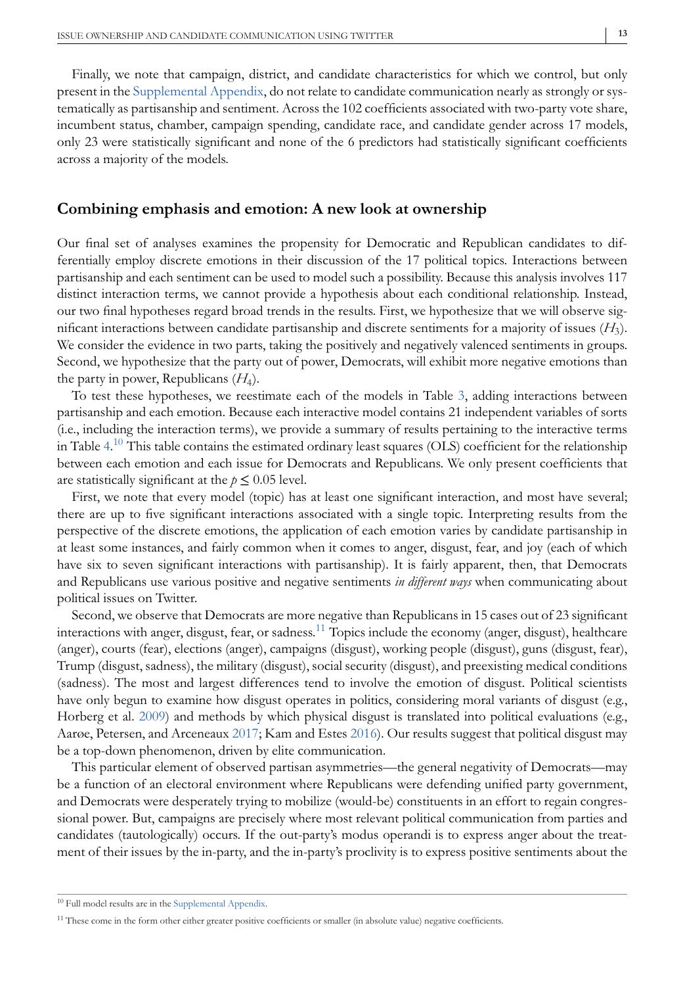Finally, we note that campaign, district, and candidate characteristics for which we control, but only present in the Supplemental Appendix, do not relate to candidate communication nearly as strongly or systematically as partisanship and sentiment. Across the 102 coefficients associated with two-party vote share, incumbent status, chamber, campaign spending, candidate race, and candidate gender across 17 models, only 23 were statistically significant and none of the 6 predictors had statistically significant coefficients across a majority of the models.

#### **Combining emphasis and emotion: A new look at ownership**

Our final set of analyses examines the propensity for Democratic and Republican candidates to differentially employ discrete emotions in their discussion of the 17 political topics. Interactions between partisanship and each sentiment can be used to model such a possibility. Because this analysis involves 117 distinct interaction terms, we cannot provide a hypothesis about each conditional relationship. Instead, our two final hypotheses regard broad trends in the results. First, we hypothesize that we will observe significant interactions between candidate partisanship and discrete sentiments for a majority of issues (*H*3). We consider the evidence in two parts, taking the positively and negatively valenced sentiments in groups. Second, we hypothesize that the party out of power, Democrats, will exhibit more negative emotions than the party in power, Republicans  $(H_4)$ .

To test these hypotheses, we reestimate each of the models in Table [3,](#page-10-0) adding interactions between partisanship and each emotion. Because each interactive model contains 21 independent variables of sorts (i.e., including the interaction terms), we provide a summary of results pertaining to the interactive terms in Table [4.](#page-13-0) $^{10}$  This table contains the estimated ordinary least squares (OLS) coefficient for the relationship between each emotion and each issue for Democrats and Republicans. We only present coefficients that are statistically significant at the  $p \leq 0.05$  level.

First, we note that every model (topic) has at least one significant interaction, and most have several; there are up to five significant interactions associated with a single topic. Interpreting results from the perspective of the discrete emotions, the application of each emotion varies by candidate partisanship in at least some instances, and fairly common when it comes to anger, disgust, fear, and joy (each of which have six to seven significant interactions with partisanship). It is fairly apparent, then, that Democrats and Republicans use various positive and negative sentiments *in different ways* when communicating about political issues on Twitter.

Second, we observe that Democrats are more negative than Republicans in 15 cases out of 23 significant interactions with anger, disgust, fear, or sadness.11 Topics include the economy (anger, disgust), healthcare (anger), courts (fear), elections (anger), campaigns (disgust), working people (disgust), guns (disgust, fear), Trump (disgust, sadness), the military (disgust), social security (disgust), and preexisting medical conditions (sadness). The most and largest differences tend to involve the emotion of disgust. Political scientists have only begun to examine how disgust operates in politics, considering moral variants of disgust (e.g., Horberg et al. [2009\)](#page-14-0) and methods by which physical disgust is translated into political evaluations (e.g., Aarøe, Petersen, and Arceneaux [2017;](#page-14-0) Kam and Estes [2016\)](#page-15-0). Our results suggest that political disgust may be a top-down phenomenon, driven by elite communication.

This particular element of observed partisan asymmetries—the general negativity of Democrats—may be a function of an electoral environment where Republicans were defending unified party government, and Democrats were desperately trying to mobilize (would-be) constituents in an effort to regain congressional power. But, campaigns are precisely where most relevant political communication from parties and candidates (tautologically) occurs. If the out-party's modus operandi is to express anger about the treatment of their issues by the in-party, and the in-party's proclivity is to express positive sentiments about the

<sup>&</sup>lt;sup>10</sup> Full model results are in the Supplemental Appendix.

<sup>&</sup>lt;sup>11</sup> These come in the form other either greater positive coefficients or smaller (in absolute value) negative coefficients.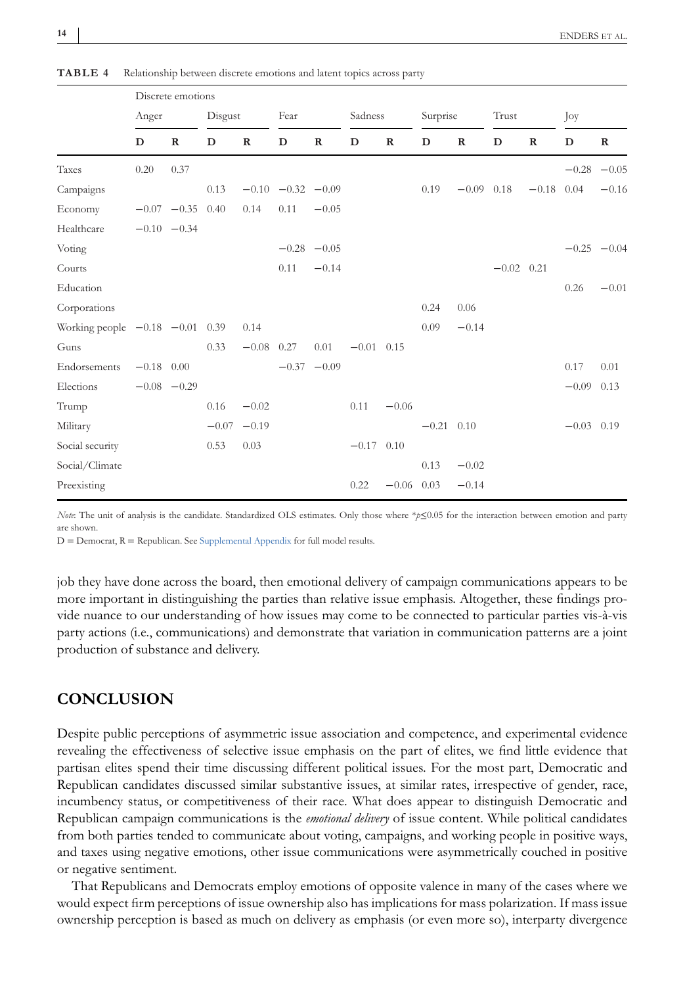|                                | Discrete emotions |                      |         |             |                         |               |              |             |              |              |              |              |              |               |
|--------------------------------|-------------------|----------------------|---------|-------------|-------------------------|---------------|--------------|-------------|--------------|--------------|--------------|--------------|--------------|---------------|
|                                | Anger             |                      | Disgust |             | Fear                    |               | Sadness      |             | Surprise     |              | Trust        |              | Joy          |               |
|                                | D                 | $\mathbf R$          | D       | $\mathbf R$ | D                       | $\mathbf R$   | $\mathbf D$  | $\mathbf R$ | D            | $\mathbf R$  | D            | $\mathbf R$  | D            | $\mathbf R$   |
| Taxes                          | 0.20              | 0.37                 |         |             |                         |               |              |             |              |              |              |              | $-0.28$      | $-0.05$       |
| Campaigns                      |                   |                      | 0.13    |             | $-0.10$ $-0.32$ $-0.09$ |               |              |             | 0.19         | $-0.09$ 0.18 |              | $-0.18$ 0.04 |              | $-0.16$       |
| Economy                        |                   | $-0.07$ $-0.35$ 0.40 |         | 0.14        | 0.11                    | $-0.05$       |              |             |              |              |              |              |              |               |
| Healthcare                     |                   | $-0.10 - 0.34$       |         |             |                         |               |              |             |              |              |              |              |              |               |
| Voting                         |                   |                      |         |             |                         | $-0.28 -0.05$ |              |             |              |              |              |              |              | $-0.25 -0.04$ |
| Courts                         |                   |                      |         |             | 0.11                    | $-0.14$       |              |             |              |              | $-0.02$ 0.21 |              |              |               |
| Education                      |                   |                      |         |             |                         |               |              |             |              |              |              |              | 0.26         | $-0.01$       |
| Corporations                   |                   |                      |         |             |                         |               |              |             | 0.24         | 0.06         |              |              |              |               |
| Working people $-0.18$ $-0.01$ |                   |                      | 0.39    | 0.14        |                         |               |              |             | 0.09         | $-0.14$      |              |              |              |               |
| Guns                           |                   |                      | 0.33    | $-0.08$     | 0.27                    | 0.01          | $-0.01$ 0.15 |             |              |              |              |              |              |               |
| Endorsements                   | $-0.18$ 0.00      |                      |         |             |                         | $-0.37 -0.09$ |              |             |              |              |              |              | 0.17         | 0.01          |
| Elections                      |                   | $-0.08$ $-0.29$      |         |             |                         |               |              |             |              |              |              |              | $-0.09$ 0.13 |               |
| Trump                          |                   |                      | 0.16    | $-0.02$     |                         |               | 0.11         | $-0.06$     |              |              |              |              |              |               |
| Military                       |                   |                      | $-0.07$ | $-0.19$     |                         |               |              |             | $-0.21$ 0.10 |              |              |              | $-0.03$ 0.19 |               |
| Social security                |                   |                      | 0.53    | 0.03        |                         |               | $-0.17$ 0.10 |             |              |              |              |              |              |               |
| Social/Climate                 |                   |                      |         |             |                         |               |              |             | 0.13         | $-0.02$      |              |              |              |               |
| Preexisting                    |                   |                      |         |             |                         |               | 0.22         | $-0.06$     | 0.03         | $-0.14$      |              |              |              |               |

<span id="page-13-0"></span>**TABLE 4** Relationship between discrete emotions and latent topics across party

*Note*: The unit of analysis is the candidate. Standardized OLS estimates. Only those where \**p*≤0.05 for the interaction between emotion and party are shown.

D = Democrat, R = Republican. See Supplemental Appendix for full model results.

job they have done across the board, then emotional delivery of campaign communications appears to be more important in distinguishing the parties than relative issue emphasis. Altogether, these findings provide nuance to our understanding of how issues may come to be connected to particular parties vis-à-vis party actions (i.e., communications) and demonstrate that variation in communication patterns are a joint production of substance and delivery.

## **CONCLUSION**

Despite public perceptions of asymmetric issue association and competence, and experimental evidence revealing the effectiveness of selective issue emphasis on the part of elites, we find little evidence that partisan elites spend their time discussing different political issues. For the most part, Democratic and Republican candidates discussed similar substantive issues, at similar rates, irrespective of gender, race, incumbency status, or competitiveness of their race. What does appear to distinguish Democratic and Republican campaign communications is the *emotional delivery* of issue content. While political candidates from both parties tended to communicate about voting, campaigns, and working people in positive ways, and taxes using negative emotions, other issue communications were asymmetrically couched in positive or negative sentiment.

That Republicans and Democrats employ emotions of opposite valence in many of the cases where we would expect firm perceptions of issue ownership also has implications for mass polarization. If mass issue ownership perception is based as much on delivery as emphasis (or even more so), interparty divergence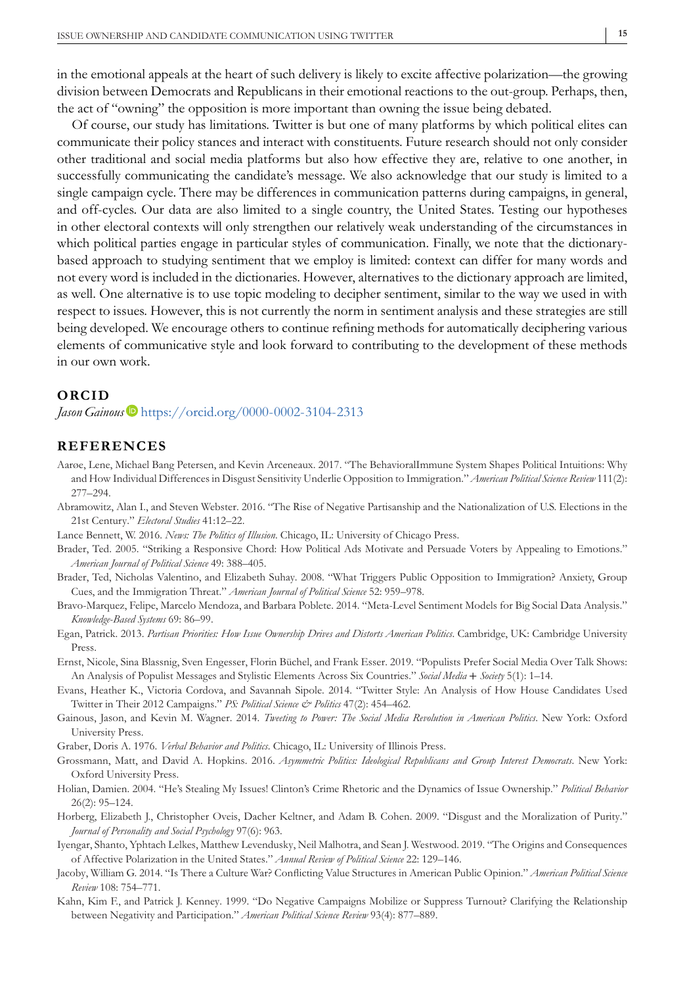<span id="page-14-0"></span>in the emotional appeals at the heart of such delivery is likely to excite affective polarization—the growing division between Democrats and Republicans in their emotional reactions to the out-group. Perhaps, then, the act of "owning" the opposition is more important than owning the issue being debated.

Of course, our study has limitations. Twitter is but one of many platforms by which political elites can communicate their policy stances and interact with constituents. Future research should not only consider other traditional and social media platforms but also how effective they are, relative to one another, in successfully communicating the candidate's message. We also acknowledge that our study is limited to a single campaign cycle. There may be differences in communication patterns during campaigns, in general, and off-cycles. Our data are also limited to a single country, the United States. Testing our hypotheses in other electoral contexts will only strengthen our relatively weak understanding of the circumstances in which political parties engage in particular styles of communication. Finally, we note that the dictionarybased approach to studying sentiment that we employ is limited: context can differ for many words and not every word is included in the dictionaries. However, alternatives to the dictionary approach are limited, as well. One alternative is to use topic modeling to decipher sentiment, similar to the way we used in with respect to issues. However, this is not currently the norm in sentiment analysis and these strategies are still being developed. We encourage others to continue refining methods for automatically deciphering various elements of communicative style and look forward to contributing to the development of these methods in our own work.

#### **ORCID**

#### *Jason Gainous* • <https://orcid.org/0000-0002-3104-2313>

#### **REFERENCES**

- Aarøe, Lene, Michael Bang Petersen, and Kevin Arceneaux. 2017. "The BehavioralImmune System Shapes Political Intuitions: Why and How Individual Differences in Disgust Sensitivity Underlie Opposition to Immigration." *American Political Science Review* 111(2): 277–294.
- Abramowitz, Alan I., and Steven Webster. 2016. "The Rise of Negative Partisanship and the Nationalization of U.S. Elections in the 21st Century." *Electoral Studies* 41:12–22.
- Lance Bennett, W. 2016. *News: The Politics of Illusion*. Chicago, IL: University of Chicago Press.
- Brader, Ted. 2005. "Striking a Responsive Chord: How Political Ads Motivate and Persuade Voters by Appealing to Emotions." *American Journal of Political Science* 49: 388–405.
- Brader, Ted, Nicholas Valentino, and Elizabeth Suhay. 2008. "What Triggers Public Opposition to Immigration? Anxiety, Group Cues, and the Immigration Threat." *American Journal of Political Science* 52: 959–978.
- Bravo-Marquez, Felipe, Marcelo Mendoza, and Barbara Poblete. 2014. "Meta-Level Sentiment Models for Big Social Data Analysis." *Knowledge-Based Systems* 69: 86–99.
- Egan, Patrick. 2013. *Partisan Priorities: How Issue Ownership Drives and Distorts American Politics*. Cambridge, UK: Cambridge University Press.
- Ernst, Nicole, Sina Blassnig, Sven Engesser, Florin Büchel, and Frank Esser. 2019. "Populists Prefer Social Media Over Talk Shows: An Analysis of Populist Messages and Stylistic Elements Across Six Countries." *Social Media* + *Society* 5(1): 1–14.
- Evans, Heather K., Victoria Cordova, and Savannah Sipole. 2014. "Twitter Style: An Analysis of How House Candidates Used Twitter in Their 2012 Campaigns." *PS: Political Science & Politics* 47(2): 454–462.
- Gainous, Jason, and Kevin M. Wagner. 2014. *Tweeting to Power: The Social Media Revolution in American Politics*. New York: Oxford University Press.
- Graber, Doris A. 1976. *Verbal Behavior and Politics*. Chicago, IL: University of Illinois Press.
- Grossmann, Matt, and David A. Hopkins. 2016. *Asymmetric Politics: Ideological Republicans and Group Interest Democrats*. New York: Oxford University Press.
- Holian, Damien. 2004. "He's Stealing My Issues! Clinton's Crime Rhetoric and the Dynamics of Issue Ownership." *Political Behavior* 26(2): 95–124.
- Horberg, Elizabeth J., Christopher Oveis, Dacher Keltner, and Adam B. Cohen. 2009. "Disgust and the Moralization of Purity." *Journal of Personality and Social Psychology* 97(6): 963.
- Iyengar, Shanto, Yphtach Lelkes, Matthew Levendusky, Neil Malhotra, and Sean J. Westwood. 2019. "The Origins and Consequences of Affective Polarization in the United States." *Annual Review of Political Science* 22: 129–146.
- Jacoby, William G. 2014. "Is There a Culture War? Conflicting Value Structures in American Public Opinion." *American Political Science Review* 108: 754–771.
- Kahn, Kim F., and Patrick J. Kenney. 1999. "Do Negative Campaigns Mobilize or Suppress Turnout? Clarifying the Relationship between Negativity and Participation." *American Political Science Review* 93(4): 877–889.